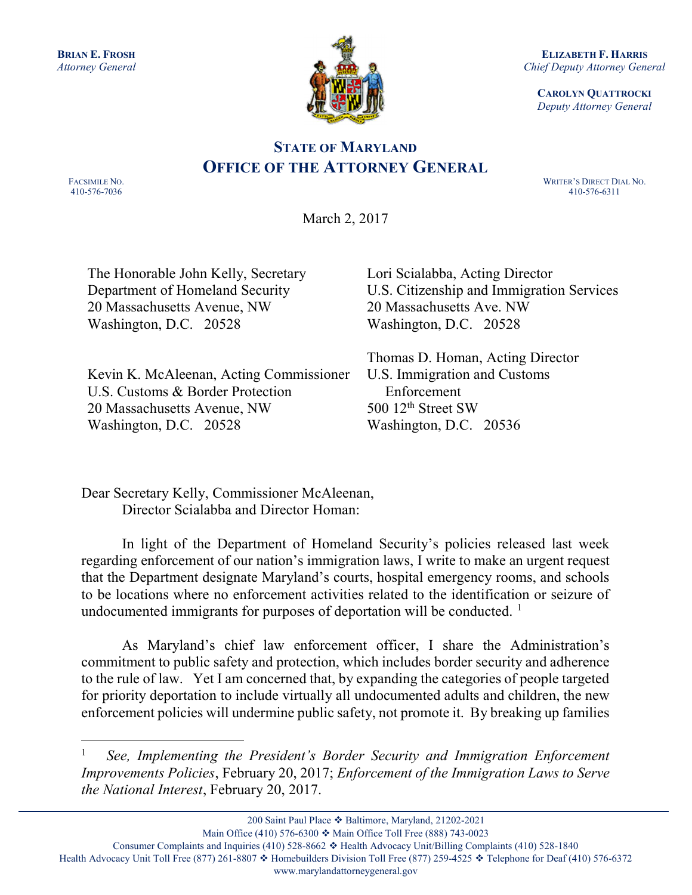

ELIZABETH F. HARRIS Chief Deputy Attorney General

CAROLYN QUATTROCKI Deputy Attorney General

## STATE OF MARYLAND OFFICE OF THE ATTORNEY GENERAL

FACSIMILE NO. 410-576-7036

 $\overline{a}$ 

 WRITER'S DIRECT DIAL NO. 410-576-6311

March 2, 2017

The Honorable John Kelly, Secretary Department of Homeland Security 20 Massachusetts Avenue, NW Washington, D.C. 20528

Lori Scialabba, Acting Director U.S. Citizenship and Immigration Services 20 Massachusetts Ave. NW Washington, D.C. 20528

Kevin K. McAleenan, Acting Commissioner U.S. Customs & Border Protection 20 Massachusetts Avenue, NW Washington, D.C. 20528

Thomas D. Homan, Acting Director U.S. Immigration and Customs Enforcement 500  $12<sup>th</sup>$  Street SW Washington, D.C. 20536

Dear Secretary Kelly, Commissioner McAleenan, Director Scialabba and Director Homan:

In light of the Department of Homeland Security's policies released last week regarding enforcement of our nation's immigration laws, I write to make an urgent request that the Department designate Maryland's courts, hospital emergency rooms, and schools to be locations where no enforcement activities related to the identification or seizure of undocumented immigrants for purposes of deportation will be conducted.  $<sup>1</sup>$ </sup>

As Maryland's chief law enforcement officer, I share the Administration's commitment to public safety and protection, which includes border security and adherence to the rule of law. Yet I am concerned that, by expanding the categories of people targeted for priority deportation to include virtually all undocumented adults and children, the new enforcement policies will undermine public safety, not promote it. By breaking up families

<sup>1</sup> See, Implementing the President's Border Security and Immigration Enforcement Improvements Policies, February 20, 2017; Enforcement of the Immigration Laws to Serve the National Interest, February 20, 2017.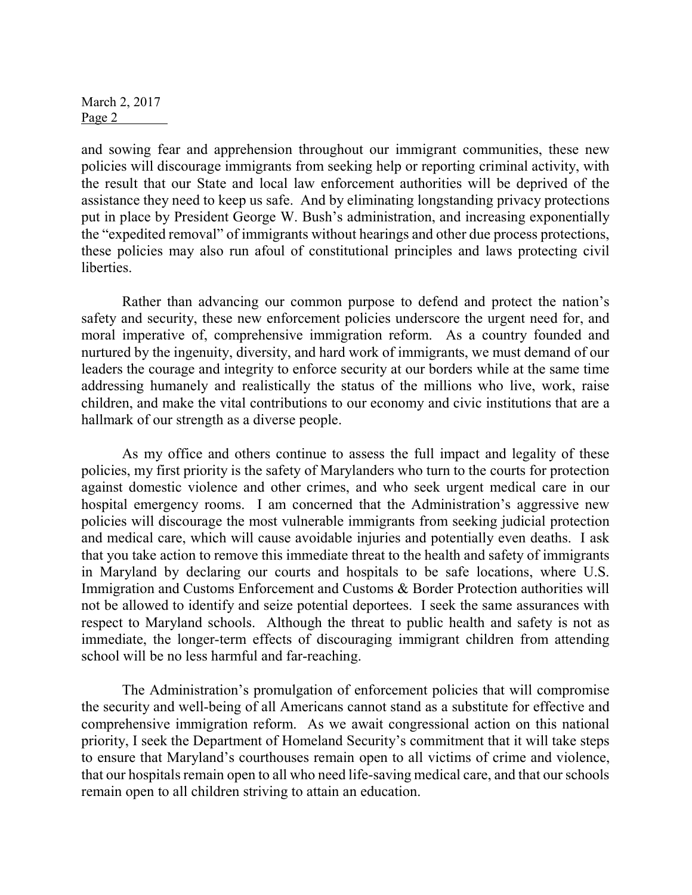March 2, 2017 Page 2

and sowing fear and apprehension throughout our immigrant communities, these new policies will discourage immigrants from seeking help or reporting criminal activity, with the result that our State and local law enforcement authorities will be deprived of the assistance they need to keep us safe. And by eliminating longstanding privacy protections put in place by President George W. Bush's administration, and increasing exponentially the "expedited removal" of immigrants without hearings and other due process protections, these policies may also run afoul of constitutional principles and laws protecting civil liberties.

Rather than advancing our common purpose to defend and protect the nation's safety and security, these new enforcement policies underscore the urgent need for, and moral imperative of, comprehensive immigration reform. As a country founded and nurtured by the ingenuity, diversity, and hard work of immigrants, we must demand of our leaders the courage and integrity to enforce security at our borders while at the same time addressing humanely and realistically the status of the millions who live, work, raise children, and make the vital contributions to our economy and civic institutions that are a hallmark of our strength as a diverse people.

As my office and others continue to assess the full impact and legality of these policies, my first priority is the safety of Marylanders who turn to the courts for protection against domestic violence and other crimes, and who seek urgent medical care in our hospital emergency rooms. I am concerned that the Administration's aggressive new policies will discourage the most vulnerable immigrants from seeking judicial protection and medical care, which will cause avoidable injuries and potentially even deaths. I ask that you take action to remove this immediate threat to the health and safety of immigrants in Maryland by declaring our courts and hospitals to be safe locations, where U.S. Immigration and Customs Enforcement and Customs & Border Protection authorities will not be allowed to identify and seize potential deportees. I seek the same assurances with respect to Maryland schools. Although the threat to public health and safety is not as immediate, the longer-term effects of discouraging immigrant children from attending school will be no less harmful and far-reaching.

The Administration's promulgation of enforcement policies that will compromise the security and well-being of all Americans cannot stand as a substitute for effective and comprehensive immigration reform. As we await congressional action on this national priority, I seek the Department of Homeland Security's commitment that it will take steps to ensure that Maryland's courthouses remain open to all victims of crime and violence, that our hospitals remain open to all who need life-saving medical care, and that our schools remain open to all children striving to attain an education.